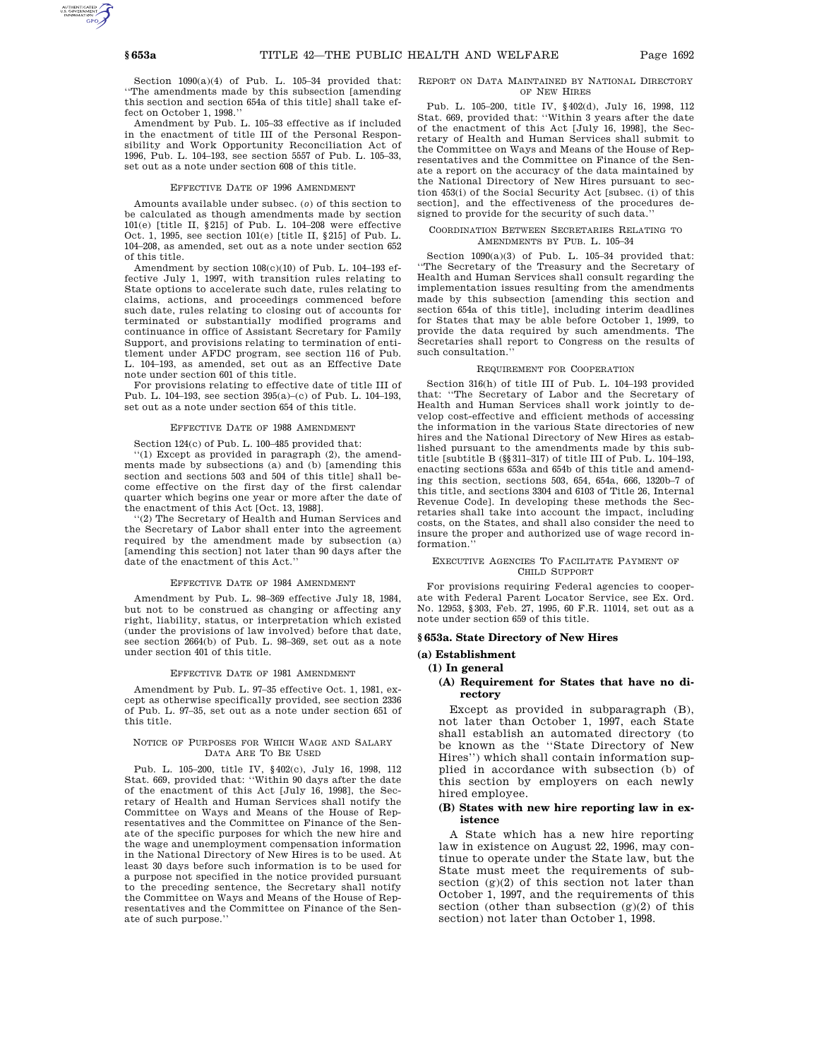Section 1090(a)(4) of Pub. L. 105–34 provided that: ''The amendments made by this subsection [amending this section and section 654a of this title] shall take effect on October 1, 1998.''

Amendment by Pub. L. 105–33 effective as if included in the enactment of title III of the Personal Responsibility and Work Opportunity Reconciliation Act of 1996, Pub. L. 104–193, see section 5557 of Pub. L. 105–33, set out as a note under section 608 of this title.

#### EFFECTIVE DATE OF 1996 AMENDMENT

Amounts available under subsec. (*o*) of this section to be calculated as though amendments made by section 101(e) [title II, §215] of Pub. L. 104–208 were effective Oct. 1, 1995, see section 101(e) [title II, §215] of Pub. L. 104–208, as amended, set out as a note under section 652 of this title.

Amendment by section 108(c)(10) of Pub. L. 104–193 effective July 1, 1997, with transition rules relating to State options to accelerate such date, rules relating to claims, actions, and proceedings commenced before such date, rules relating to closing out of accounts for terminated or substantially modified programs and continuance in office of Assistant Secretary for Family Support, and provisions relating to termination of entitlement under AFDC program, see section 116 of Pub. L. 104–193, as amended, set out as an Effective Date note under section 601 of this title.

For provisions relating to effective date of title III of Pub. L. 104–193, see section 395(a)–(c) of Pub. L. 104–193, set out as a note under section 654 of this title.

#### EFFECTIVE DATE OF 1988 AMENDMENT

Section 124(c) of Pub. L. 100–485 provided that:

''(1) Except as provided in paragraph (2), the amendments made by subsections (a) and (b) [amending this section and sections 503 and 504 of this title] shall become effective on the first day of the first calendar quarter which begins one year or more after the date of the enactment of this Act [Oct. 13, 1988].

''(2) The Secretary of Health and Human Services and the Secretary of Labor shall enter into the agreement required by the amendment made by subsection (a) [amending this section] not later than 90 days after the date of the enactment of this Act.''

#### EFFECTIVE DATE OF 1984 AMENDMENT

Amendment by Pub. L. 98–369 effective July 18, 1984, but not to be construed as changing or affecting any right, liability, status, or interpretation which existed (under the provisions of law involved) before that date, see section 2664(b) of Pub. L. 98–369, set out as a note under section 401 of this title.

#### EFFECTIVE DATE OF 1981 AMENDMENT

Amendment by Pub. L. 97–35 effective Oct. 1, 1981, except as otherwise specifically provided, see section 2336 of Pub. L. 97–35, set out as a note under section 651 of this title.

#### NOTICE OF PURPOSES FOR WHICH WAGE AND SALARY DATA ARE TO BE USED

Pub. L. 105–200, title IV, §402(c), July 16, 1998, 112 Stat. 669, provided that: ''Within 90 days after the date of the enactment of this Act [July 16, 1998], the Secretary of Health and Human Services shall notify the Committee on Ways and Means of the House of Representatives and the Committee on Finance of the Senate of the specific purposes for which the new hire and the wage and unemployment compensation information in the National Directory of New Hires is to be used. At least 30 days before such information is to be used for a purpose not specified in the notice provided pursuant to the preceding sentence, the Secretary shall notify the Committee on Ways and Means of the House of Representatives and the Committee on Finance of the Senate of such purpose.''

### REPORT ON DATA MAINTAINED BY NATIONAL DIRECTORY OF NEW HIRES

Pub. L. 105–200, title IV, §402(d), July 16, 1998, 112 Stat. 669, provided that: ''Within 3 years after the date of the enactment of this Act [July 16, 1998], the Secretary of Health and Human Services shall submit to the Committee on Ways and Means of the House of Representatives and the Committee on Finance of the Senate a report on the accuracy of the data maintained by the National Directory of New Hires pursuant to section 453(i) of the Social Security Act [subsec. (i) of this section], and the effectiveness of the procedures designed to provide for the security of such data.''

#### COORDINATION BETWEEN SECRETARIES RELATING TO AMENDMENTS BY PUB. L. 105–34

Section 1090(a)(3) of Pub. L. 105–34 provided that: ''The Secretary of the Treasury and the Secretary of Health and Human Services shall consult regarding the implementation issues resulting from the amendments made by this subsection [amending this section and section 654a of this title], including interim deadlines for States that may be able before October 1, 1999, to provide the data required by such amendments. The Secretaries shall report to Congress on the results of such consultation.''

#### REQUIREMENT FOR COOPERATION

Section 316(h) of title III of Pub. L. 104–193 provided that: ''The Secretary of Labor and the Secretary of Health and Human Services shall work jointly to develop cost-effective and efficient methods of accessing the information in the various State directories of new hires and the National Directory of New Hires as established pursuant to the amendments made by this subtitle [subtitle B (§§311–317) of title III of Pub. L. 104–193, enacting sections 653a and 654b of this title and amending this section, sections 503, 654, 654a, 666, 1320b–7 of this title, and sections 3304 and 6103 of Title 26, Internal Revenue Code]. In developing these methods the Secretaries shall take into account the impact, including costs, on the States, and shall also consider the need to insure the proper and authorized use of wage record information.

#### EXECUTIVE AGENCIES TO FACILITATE PAYMENT OF CHILD SUPPORT

For provisions requiring Federal agencies to cooperate with Federal Parent Locator Service, see Ex. Ord. No. 12953, §303, Feb. 27, 1995, 60 F.R. 11014, set out as a note under section 659 of this title.

## **§ 653a. State Directory of New Hires**

#### **(a) Establishment**

#### **(1) In general**

### **(A) Requirement for States that have no directory**

Except as provided in subparagraph (B), not later than October 1, 1997, each State shall establish an automated directory (to be known as the ''State Directory of New Hires'') which shall contain information supplied in accordance with subsection (b) of this section by employers on each newly hired employee.

### **(B) States with new hire reporting law in existence**

A State which has a new hire reporting law in existence on August 22, 1996, may continue to operate under the State law, but the State must meet the requirements of subsection  $(g)(2)$  of this section not later than October 1, 1997, and the requirements of this section (other than subsection  $(g)(2)$  of this section) not later than October 1, 1998.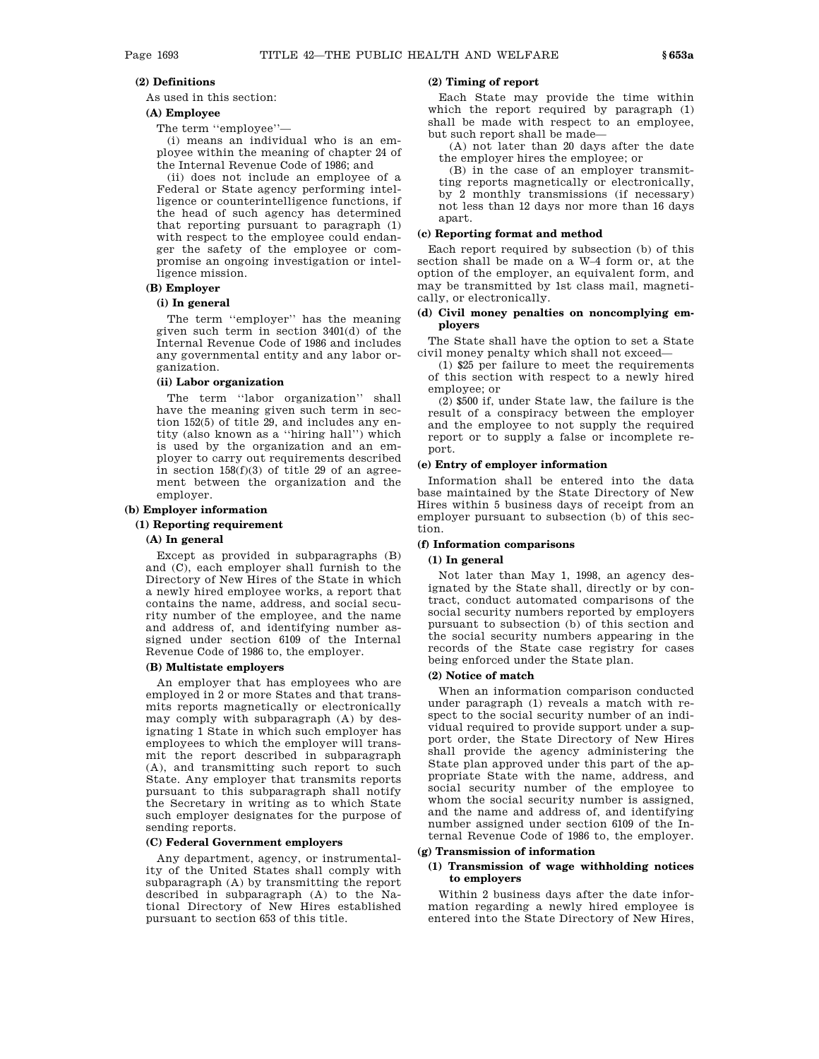### **(2) Definitions**

As used in this section:

# **(A) Employee**

The term ''employee''—

(i) means an individual who is an employee within the meaning of chapter 24 of the Internal Revenue Code of 1986; and

(ii) does not include an employee of a Federal or State agency performing intelligence or counterintelligence functions, if the head of such agency has determined that reporting pursuant to paragraph (1) with respect to the employee could endanger the safety of the employee or compromise an ongoing investigation or intelligence mission.

### **(B) Employer**

### **(i) In general**

The term ''employer'' has the meaning given such term in section 3401(d) of the Internal Revenue Code of 1986 and includes any governmental entity and any labor organization.

# **(ii) Labor organization**

The term "labor organization" shall have the meaning given such term in section 152(5) of title 29, and includes any entity (also known as a ''hiring hall'') which is used by the organization and an employer to carry out requirements described in section  $158(f)(3)$  of title 29 of an agreement between the organization and the employer.

#### **(b) Employer information**

#### **(1) Reporting requirement**

#### **(A) In general**

Except as provided in subparagraphs (B) and (C), each employer shall furnish to the Directory of New Hires of the State in which a newly hired employee works, a report that contains the name, address, and social security number of the employee, and the name and address of, and identifying number assigned under section 6109 of the Internal Revenue Code of 1986 to, the employer.

# **(B) Multistate employers**

An employer that has employees who are employed in 2 or more States and that transmits reports magnetically or electronically may comply with subparagraph (A) by designating 1 State in which such employer has employees to which the employer will transmit the report described in subparagraph (A), and transmitting such report to such State. Any employer that transmits reports pursuant to this subparagraph shall notify the Secretary in writing as to which State such employer designates for the purpose of sending reports.

### **(C) Federal Government employers**

Any department, agency, or instrumentality of the United States shall comply with subparagraph (A) by transmitting the report described in subparagraph (A) to the National Directory of New Hires established pursuant to section 653 of this title.

# **(2) Timing of report**

Each State may provide the time within which the report required by paragraph (1) shall be made with respect to an employee, but such report shall be made—

(A) not later than 20 days after the date the employer hires the employee; or

(B) in the case of an employer transmitting reports magnetically or electronically, by 2 monthly transmissions (if necessary) not less than 12 days nor more than 16 days apart.

# **(c) Reporting format and method**

Each report required by subsection (b) of this section shall be made on a W–4 form or, at the option of the employer, an equivalent form, and may be transmitted by 1st class mail, magnetically, or electronically.

### **(d) Civil money penalties on noncomplying employers**

The State shall have the option to set a State civil money penalty which shall not exceed—

(1) \$25 per failure to meet the requirements of this section with respect to a newly hired employee; or

(2) \$500 if, under State law, the failure is the result of a conspiracy between the employer and the employee to not supply the required report or to supply a false or incomplete report.

#### **(e) Entry of employer information**

Information shall be entered into the data base maintained by the State Directory of New Hires within 5 business days of receipt from an employer pursuant to subsection (b) of this section.

### **(f) Information comparisons**

### **(1) In general**

Not later than May 1, 1998, an agency designated by the State shall, directly or by contract, conduct automated comparisons of the social security numbers reported by employers pursuant to subsection (b) of this section and the social security numbers appearing in the records of the State case registry for cases being enforced under the State plan.

## **(2) Notice of match**

When an information comparison conducted under paragraph (1) reveals a match with respect to the social security number of an individual required to provide support under a support order, the State Directory of New Hires shall provide the agency administering the State plan approved under this part of the appropriate State with the name, address, and social security number of the employee to whom the social security number is assigned, and the name and address of, and identifying number assigned under section 6109 of the Internal Revenue Code of 1986 to, the employer.

### **(g) Transmission of information**

### **(1) Transmission of wage withholding notices to employers**

Within 2 business days after the date information regarding a newly hired employee is entered into the State Directory of New Hires,